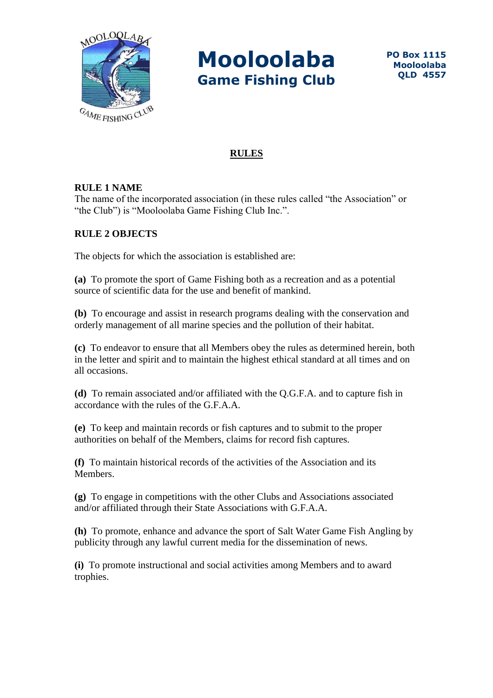

## **RULES**

### **RULE 1 NAME**

The name of the incorporated association (in these rules called "the Association" or "the Club") is "Mooloolaba Game Fishing Club Inc.".

### **RULE 2 OBJECTS**

The objects for which the association is established are:

**(a)** To promote the sport of Game Fishing both as a recreation and as a potential source of scientific data for the use and benefit of mankind.

**(b)** To encourage and assist in research programs dealing with the conservation and orderly management of all marine species and the pollution of their habitat.

**(c)** To endeavor to ensure that all Members obey the rules as determined herein, both in the letter and spirit and to maintain the highest ethical standard at all times and on all occasions.

**(d)** To remain associated and/or affiliated with the Q.G.F.A. and to capture fish in accordance with the rules of the G.F.A.A.

**(e)** To keep and maintain records or fish captures and to submit to the proper authorities on behalf of the Members, claims for record fish captures.

**(f)** To maintain historical records of the activities of the Association and its **Members** 

**(g)** To engage in competitions with the other Clubs and Associations associated and/or affiliated through their State Associations with G.F.A.A.

**(h)** To promote, enhance and advance the sport of Salt Water Game Fish Angling by publicity through any lawful current media for the dissemination of news.

**(i)** To promote instructional and social activities among Members and to award trophies.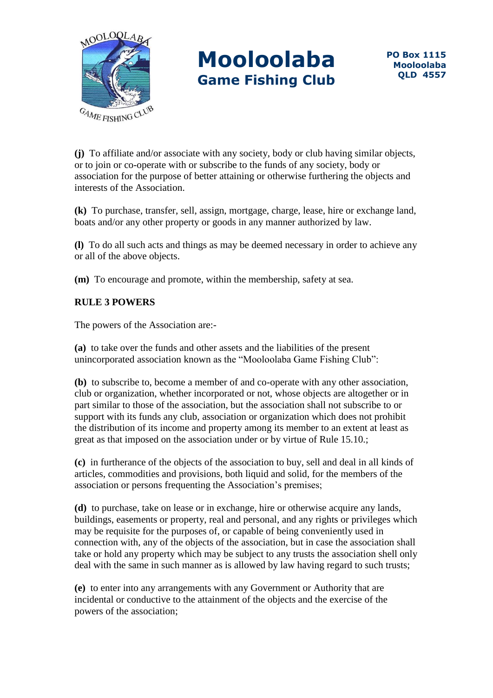

**(j)** To affiliate and/or associate with any society, body or club having similar objects, or to join or co-operate with or subscribe to the funds of any society, body or association for the purpose of better attaining or otherwise furthering the objects and interests of the Association.

**(k)** To purchase, transfer, sell, assign, mortgage, charge, lease, hire or exchange land, boats and/or any other property or goods in any manner authorized by law.

**(l)** To do all such acts and things as may be deemed necessary in order to achieve any or all of the above objects.

**(m)** To encourage and promote, within the membership, safety at sea.

## **RULE 3 POWERS**

The powers of the Association are:-

**(a)** to take over the funds and other assets and the liabilities of the present unincorporated association known as the "Mooloolaba Game Fishing Club":

**(b)** to subscribe to, become a member of and co-operate with any other association, club or organization, whether incorporated or not, whose objects are altogether or in part similar to those of the association, but the association shall not subscribe to or support with its funds any club, association or organization which does not prohibit the distribution of its income and property among its member to an extent at least as great as that imposed on the association under or by virtue of Rule 15.10.;

**(c)** in furtherance of the objects of the association to buy, sell and deal in all kinds of articles, commodities and provisions, both liquid and solid, for the members of the association or persons frequenting the Association's premises;

**(d)** to purchase, take on lease or in exchange, hire or otherwise acquire any lands, buildings, easements or property, real and personal, and any rights or privileges which may be requisite for the purposes of, or capable of being conveniently used in connection with, any of the objects of the association, but in case the association shall take or hold any property which may be subject to any trusts the association shell only deal with the same in such manner as is allowed by law having regard to such trusts;

**(e)** to enter into any arrangements with any Government or Authority that are incidental or conductive to the attainment of the objects and the exercise of the powers of the association;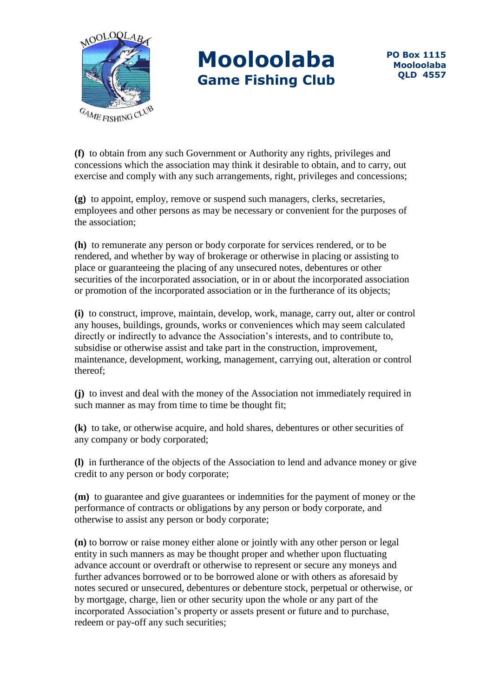

**(f)** to obtain from any such Government or Authority any rights, privileges and concessions which the association may think it desirable to obtain, and to carry, out exercise and comply with any such arrangements, right, privileges and concessions;

**(g)** to appoint, employ, remove or suspend such managers, clerks, secretaries, employees and other persons as may be necessary or convenient for the purposes of the association;

**(h)** to remunerate any person or body corporate for services rendered, or to be rendered, and whether by way of brokerage or otherwise in placing or assisting to place or guaranteeing the placing of any unsecured notes, debentures or other securities of the incorporated association, or in or about the incorporated association or promotion of the incorporated association or in the furtherance of its objects;

**(i)** to construct, improve, maintain, develop, work, manage, carry out, alter or control any houses, buildings, grounds, works or conveniences which may seem calculated directly or indirectly to advance the Association's interests, and to contribute to, subsidise or otherwise assist and take part in the construction, improvement, maintenance, development, working, management, carrying out, alteration or control thereof;

**(j)** to invest and deal with the money of the Association not immediately required in such manner as may from time to time be thought fit;

**(k)** to take, or otherwise acquire, and hold shares, debentures or other securities of any company or body corporated;

**(l)** in furtherance of the objects of the Association to lend and advance money or give credit to any person or body corporate;

**(m)** to guarantee and give guarantees or indemnities for the payment of money or the performance of contracts or obligations by any person or body corporate, and otherwise to assist any person or body corporate;

**(n)** to borrow or raise money either alone or jointly with any other person or legal entity in such manners as may be thought proper and whether upon fluctuating advance account or overdraft or otherwise to represent or secure any moneys and further advances borrowed or to be borrowed alone or with others as aforesaid by notes secured or unsecured, debentures or debenture stock, perpetual or otherwise, or by mortgage, charge, lien or other security upon the whole or any part of the incorporated Association's property or assets present or future and to purchase, redeem or pay-off any such securities;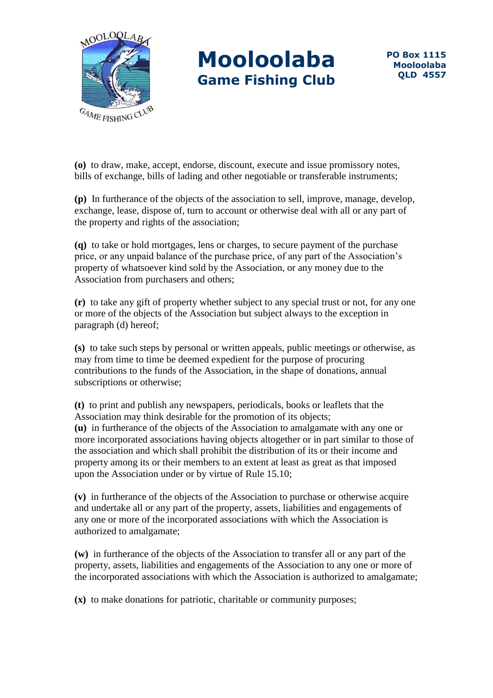

**(o)** to draw, make, accept, endorse, discount, execute and issue promissory notes, bills of exchange, bills of lading and other negotiable or transferable instruments;

**(p)** In furtherance of the objects of the association to sell, improve, manage, develop, exchange, lease, dispose of, turn to account or otherwise deal with all or any part of the property and rights of the association;

**(q)** to take or hold mortgages, lens or charges, to secure payment of the purchase price, or any unpaid balance of the purchase price, of any part of the Association's property of whatsoever kind sold by the Association, or any money due to the Association from purchasers and others;

**(r)** to take any gift of property whether subject to any special trust or not, for any one or more of the objects of the Association but subject always to the exception in paragraph (d) hereof;

**(s)** to take such steps by personal or written appeals, public meetings or otherwise, as may from time to time be deemed expedient for the purpose of procuring contributions to the funds of the Association, in the shape of donations, annual subscriptions or otherwise;

**(t)** to print and publish any newspapers, periodicals, books or leaflets that the Association may think desirable for the promotion of its objects; **(u)** in furtherance of the objects of the Association to amalgamate with any one or more incorporated associations having objects altogether or in part similar to those of the association and which shall prohibit the distribution of its or their income and property among its or their members to an extent at least as great as that imposed upon the Association under or by virtue of Rule 15.10;

**(v)** in furtherance of the objects of the Association to purchase or otherwise acquire and undertake all or any part of the property, assets, liabilities and engagements of any one or more of the incorporated associations with which the Association is authorized to amalgamate;

**(w)** in furtherance of the objects of the Association to transfer all or any part of the property, assets, liabilities and engagements of the Association to any one or more of the incorporated associations with which the Association is authorized to amalgamate;

**(x)** to make donations for patriotic, charitable or community purposes;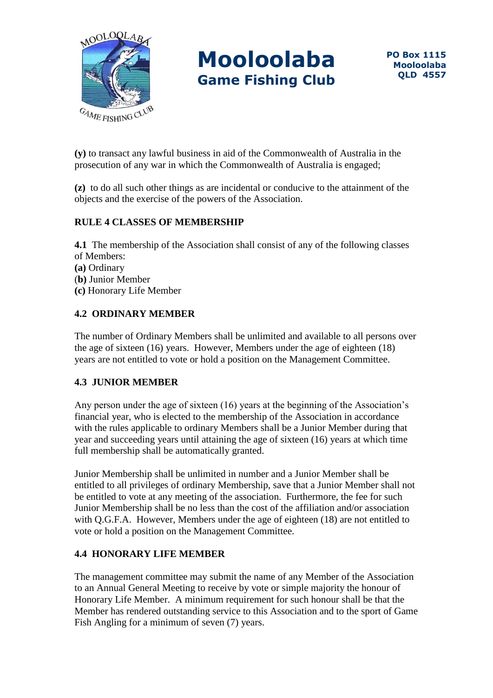

**(y)** to transact any lawful business in aid of the Commonwealth of Australia in the prosecution of any war in which the Commonwealth of Australia is engaged;

**(z)** to do all such other things as are incidental or conducive to the attainment of the objects and the exercise of the powers of the Association.

### **RULE 4 CLASSES OF MEMBERSHIP**

**4.1** The membership of the Association shall consist of any of the following classes of Members:

- **(a)** Ordinary
- (**b)** Junior Member
- **(c)** Honorary Life Member

## **4.2 ORDINARY MEMBER**

The number of Ordinary Members shall be unlimited and available to all persons over the age of sixteen (16) years. However, Members under the age of eighteen (18) years are not entitled to vote or hold a position on the Management Committee.

#### **4.3 JUNIOR MEMBER**

Any person under the age of sixteen (16) years at the beginning of the Association's financial year, who is elected to the membership of the Association in accordance with the rules applicable to ordinary Members shall be a Junior Member during that year and succeeding years until attaining the age of sixteen (16) years at which time full membership shall be automatically granted.

Junior Membership shall be unlimited in number and a Junior Member shall be entitled to all privileges of ordinary Membership, save that a Junior Member shall not be entitled to vote at any meeting of the association. Furthermore, the fee for such Junior Membership shall be no less than the cost of the affiliation and/or association with Q.G.F.A. However, Members under the age of eighteen (18) are not entitled to vote or hold a position on the Management Committee.

### **4.4 HONORARY LIFE MEMBER**

The management committee may submit the name of any Member of the Association to an Annual General Meeting to receive by vote or simple majority the honour of Honorary Life Member. A minimum requirement for such honour shall be that the Member has rendered outstanding service to this Association and to the sport of Game Fish Angling for a minimum of seven (7) years.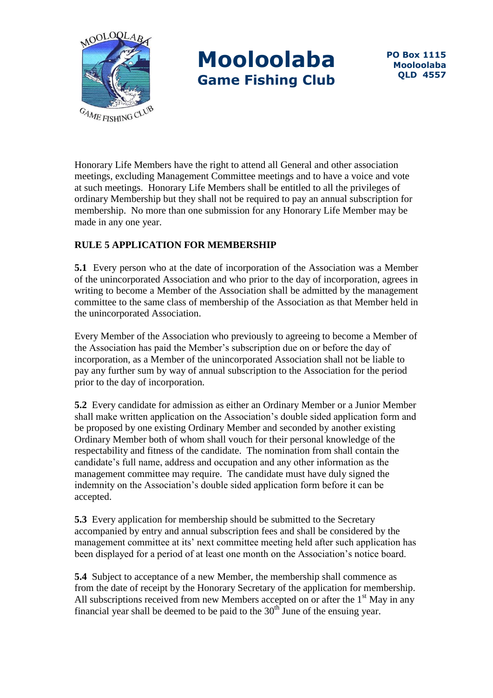

Honorary Life Members have the right to attend all General and other association meetings, excluding Management Committee meetings and to have a voice and vote at such meetings. Honorary Life Members shall be entitled to all the privileges of ordinary Membership but they shall not be required to pay an annual subscription for membership. No more than one submission for any Honorary Life Member may be made in any one year.

## **RULE 5 APPLICATION FOR MEMBERSHIP**

**5.1** Every person who at the date of incorporation of the Association was a Member of the unincorporated Association and who prior to the day of incorporation, agrees in writing to become a Member of the Association shall be admitted by the management committee to the same class of membership of the Association as that Member held in the unincorporated Association.

Every Member of the Association who previously to agreeing to become a Member of the Association has paid the Member's subscription due on or before the day of incorporation, as a Member of the unincorporated Association shall not be liable to pay any further sum by way of annual subscription to the Association for the period prior to the day of incorporation.

**5.2** Every candidate for admission as either an Ordinary Member or a Junior Member shall make written application on the Association's double sided application form and be proposed by one existing Ordinary Member and seconded by another existing Ordinary Member both of whom shall vouch for their personal knowledge of the respectability and fitness of the candidate. The nomination from shall contain the candidate's full name, address and occupation and any other information as the management committee may require. The candidate must have duly signed the indemnity on the Association's double sided application form before it can be accepted.

**5.3** Every application for membership should be submitted to the Secretary accompanied by entry and annual subscription fees and shall be considered by the management committee at its' next committee meeting held after such application has been displayed for a period of at least one month on the Association's notice board.

**5.4** Subject to acceptance of a new Member, the membership shall commence as from the date of receipt by the Honorary Secretary of the application for membership. All subscriptions received from new Members accepted on or after the  $1<sup>st</sup>$  May in any financial year shall be deemed to be paid to the  $30<sup>th</sup>$  June of the ensuing year.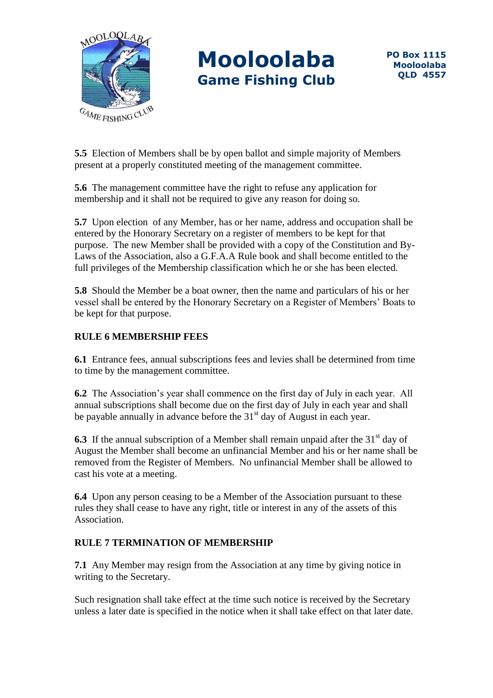

**5.5** Election of Members shall be by open ballot and simple majority of Members present at a properly constituted meeting of the management committee.

**5.6** The management committee have the right to refuse any application for membership and it shall not be required to give any reason for doing so.

**5.7** Upon election of any Member, has or her name, address and occupation shall be entered by the Honorary Secretary on a register of members to be kept for that purpose. The new Member shall be provided with a copy of the Constitution and By-Laws of the Association, also a G.F.A.A Rule book and shall become entitled to the full privileges of the Membership classification which he or she has been elected.

**5.8** Should the Member be a boat owner, then the name and particulars of his or her vessel shall be entered by the Honorary Secretary on a Register of Members' Boats to be kept for that purpose.

## **RULE 6 MEMBERSHIP FEES**

**6.1** Entrance fees, annual subscriptions fees and levies shall be determined from time to time by the management committee.

**6.2** The Association's year shall commence on the first day of July in each year. All annual subscriptions shall become due on the first day of July in each year and shall be payable annually in advance before the  $31<sup>st</sup>$  day of August in each year.

**6.3** If the annual subscription of a Member shall remain unpaid after the 31<sup>st</sup> day of August the Member shall become an unfinancial Member and his or her name shall be removed from the Register of Members. No unfinancial Member shall be allowed to cast his vote at a meeting.

**6.4** Upon any person ceasing to be a Member of the Association pursuant to these rules they shall cease to have any right, title or interest in any of the assets of this Association.

### **RULE 7 TERMINATION OF MEMBERSHIP**

**7.1** Any Member may resign from the Association at any time by giving notice in writing to the Secretary.

Such resignation shall take effect at the time such notice is received by the Secretary unless a later date is specified in the notice when it shall take effect on that later date.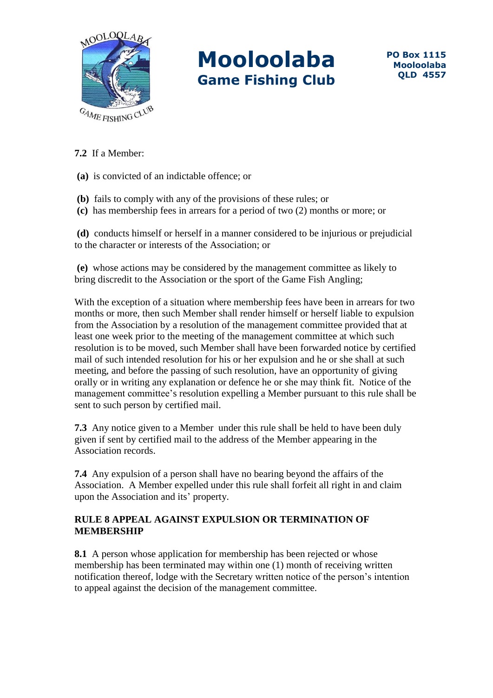

## **7.2** If a Member:

**(a)** is convicted of an indictable offence; or

- **(b)** fails to comply with any of the provisions of these rules; or
- **(c)** has membership fees in arrears for a period of two (2) months or more; or

**(d)** conducts himself or herself in a manner considered to be injurious or prejudicial to the character or interests of the Association; or

**(e)** whose actions may be considered by the management committee as likely to bring discredit to the Association or the sport of the Game Fish Angling;

With the exception of a situation where membership fees have been in arrears for two months or more, then such Member shall render himself or herself liable to expulsion from the Association by a resolution of the management committee provided that at least one week prior to the meeting of the management committee at which such resolution is to be moved, such Member shall have been forwarded notice by certified mail of such intended resolution for his or her expulsion and he or she shall at such meeting, and before the passing of such resolution, have an opportunity of giving orally or in writing any explanation or defence he or she may think fit. Notice of the management committee's resolution expelling a Member pursuant to this rule shall be sent to such person by certified mail.

**7.3** Any notice given to a Member under this rule shall be held to have been duly given if sent by certified mail to the address of the Member appearing in the Association records.

**7.4** Any expulsion of a person shall have no bearing beyond the affairs of the Association. A Member expelled under this rule shall forfeit all right in and claim upon the Association and its' property.

### **RULE 8 APPEAL AGAINST EXPULSION OR TERMINATION OF MEMBERSHIP**

**8.1** A person whose application for membership has been rejected or whose membership has been terminated may within one (1) month of receiving written notification thereof, lodge with the Secretary written notice of the person's intention to appeal against the decision of the management committee.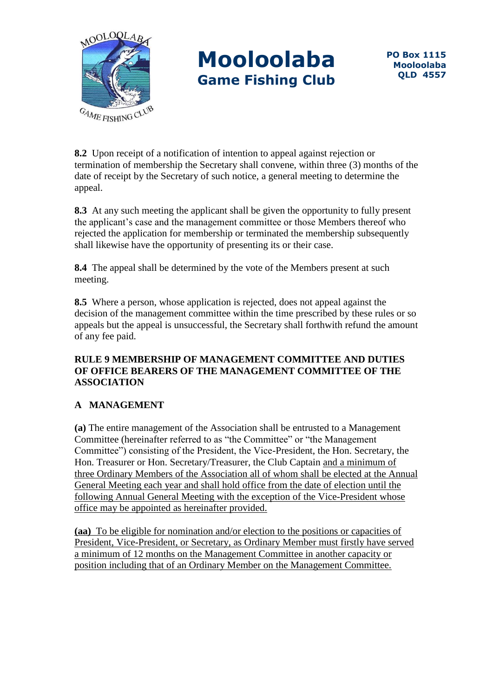

**8.2** Upon receipt of a notification of intention to appeal against rejection or termination of membership the Secretary shall convene, within three (3) months of the date of receipt by the Secretary of such notice, a general meeting to determine the appeal.

**8.3** At any such meeting the applicant shall be given the opportunity to fully present the applicant's case and the management committee or those Members thereof who rejected the application for membership or terminated the membership subsequently shall likewise have the opportunity of presenting its or their case.

**8.4** The appeal shall be determined by the vote of the Members present at such meeting.

**8.5** Where a person, whose application is rejected, does not appeal against the decision of the management committee within the time prescribed by these rules or so appeals but the appeal is unsuccessful, the Secretary shall forthwith refund the amount of any fee paid.

### **RULE 9 MEMBERSHIP OF MANAGEMENT COMMITTEE AND DUTIES OF OFFICE BEARERS OF THE MANAGEMENT COMMITTEE OF THE ASSOCIATION**

## **A MANAGEMENT**

**(a)** The entire management of the Association shall be entrusted to a Management Committee (hereinafter referred to as "the Committee" or "the Management Committee") consisting of the President, the Vice-President, the Hon. Secretary, the Hon. Treasurer or Hon. Secretary/Treasurer, the Club Captain and a minimum of three Ordinary Members of the Association all of whom shall be elected at the Annual General Meeting each year and shall hold office from the date of election until the following Annual General Meeting with the exception of the Vice-President whose office may be appointed as hereinafter provided.

**(aa)** To be eligible for nomination and/or election to the positions or capacities of President, Vice-President, or Secretary, as Ordinary Member must firstly have served a minimum of 12 months on the Management Committee in another capacity or position including that of an Ordinary Member on the Management Committee.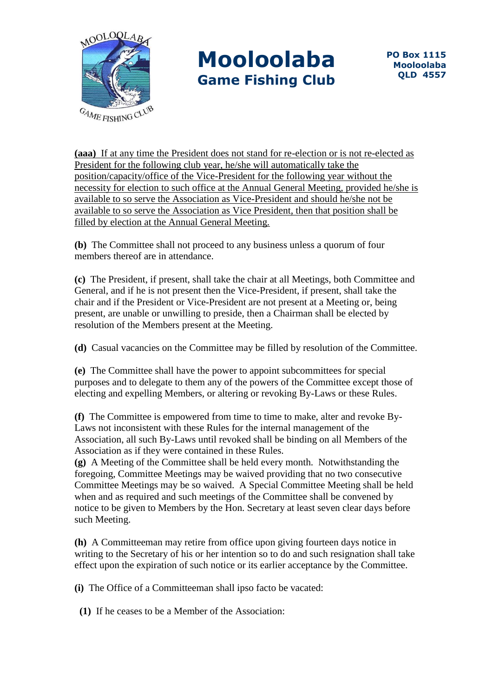

**(aaa)** If at any time the President does not stand for re-election or is not re-elected as President for the following club year, he/she will automatically take the position/capacity/office of the Vice-President for the following year without the necessity for election to such office at the Annual General Meeting, provided he/she is available to so serve the Association as Vice-President and should he/she not be available to so serve the Association as Vice President, then that position shall be filled by election at the Annual General Meeting.

**(b)** The Committee shall not proceed to any business unless a quorum of four members thereof are in attendance.

**(c)** The President, if present, shall take the chair at all Meetings, both Committee and General, and if he is not present then the Vice-President, if present, shall take the chair and if the President or Vice-President are not present at a Meeting or, being present, are unable or unwilling to preside, then a Chairman shall be elected by resolution of the Members present at the Meeting.

**(d)** Casual vacancies on the Committee may be filled by resolution of the Committee.

**(e)** The Committee shall have the power to appoint subcommittees for special purposes and to delegate to them any of the powers of the Committee except those of electing and expelling Members, or altering or revoking By-Laws or these Rules.

**(f)** The Committee is empowered from time to time to make, alter and revoke By-Laws not inconsistent with these Rules for the internal management of the Association, all such By-Laws until revoked shall be binding on all Members of the Association as if they were contained in these Rules.

**(g)** A Meeting of the Committee shall be held every month. Notwithstanding the foregoing, Committee Meetings may be waived providing that no two consecutive Committee Meetings may be so waived. A Special Committee Meeting shall be held when and as required and such meetings of the Committee shall be convened by notice to be given to Members by the Hon. Secretary at least seven clear days before such Meeting.

**(h)** A Committeeman may retire from office upon giving fourteen days notice in writing to the Secretary of his or her intention so to do and such resignation shall take effect upon the expiration of such notice or its earlier acceptance by the Committee.

**(i)** The Office of a Committeeman shall ipso facto be vacated:

**(1)** If he ceases to be a Member of the Association: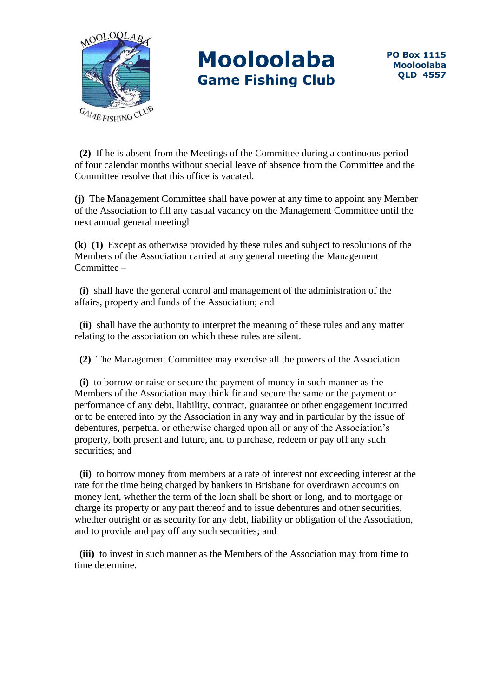

 **(2)** If he is absent from the Meetings of the Committee during a continuous period of four calendar months without special leave of absence from the Committee and the Committee resolve that this office is vacated.

**(j)** The Management Committee shall have power at any time to appoint any Member of the Association to fill any casual vacancy on the Management Committee until the next annual general meetingl

**(k) (1)** Except as otherwise provided by these rules and subject to resolutions of the Members of the Association carried at any general meeting the Management Committee –

 **(i)** shall have the general control and management of the administration of the affairs, property and funds of the Association; and

 **(ii)** shall have the authority to interpret the meaning of these rules and any matter relating to the association on which these rules are silent.

**(2)** The Management Committee may exercise all the powers of the Association

 **(i)** to borrow or raise or secure the payment of money in such manner as the Members of the Association may think fir and secure the same or the payment or performance of any debt, liability, contract, guarantee or other engagement incurred or to be entered into by the Association in any way and in particular by the issue of debentures, perpetual or otherwise charged upon all or any of the Association's property, both present and future, and to purchase, redeem or pay off any such securities; and

 **(ii)** to borrow money from members at a rate of interest not exceeding interest at the rate for the time being charged by bankers in Brisbane for overdrawn accounts on money lent, whether the term of the loan shall be short or long, and to mortgage or charge its property or any part thereof and to issue debentures and other securities, whether outright or as security for any debt, liability or obligation of the Association, and to provide and pay off any such securities; and

 **(iii)** to invest in such manner as the Members of the Association may from time to time determine.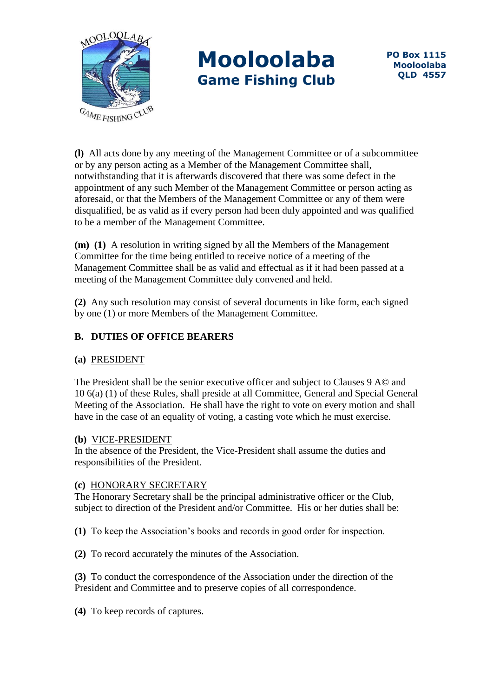

**(l)** All acts done by any meeting of the Management Committee or of a subcommittee or by any person acting as a Member of the Management Committee shall, notwithstanding that it is afterwards discovered that there was some defect in the appointment of any such Member of the Management Committee or person acting as aforesaid, or that the Members of the Management Committee or any of them were disqualified, be as valid as if every person had been duly appointed and was qualified to be a member of the Management Committee.

**(m) (1)** A resolution in writing signed by all the Members of the Management Committee for the time being entitled to receive notice of a meeting of the Management Committee shall be as valid and effectual as if it had been passed at a meeting of the Management Committee duly convened and held.

**(2)** Any such resolution may consist of several documents in like form, each signed by one (1) or more Members of the Management Committee.

## **B. DUTIES OF OFFICE BEARERS**

### **(a)** PRESIDENT

The President shall be the senior executive officer and subject to Clauses 9 A© and 10 6(a) (1) of these Rules, shall preside at all Committee, General and Special General Meeting of the Association. He shall have the right to vote on every motion and shall have in the case of an equality of voting, a casting vote which he must exercise.

#### **(b)** VICE-PRESIDENT

In the absence of the President, the Vice-President shall assume the duties and responsibilities of the President.

#### **(c)** HONORARY SECRETARY

The Honorary Secretary shall be the principal administrative officer or the Club, subject to direction of the President and/or Committee. His or her duties shall be:

**(1)** To keep the Association's books and records in good order for inspection.

**(2)** To record accurately the minutes of the Association.

**(3)** To conduct the correspondence of the Association under the direction of the President and Committee and to preserve copies of all correspondence.

**(4)** To keep records of captures.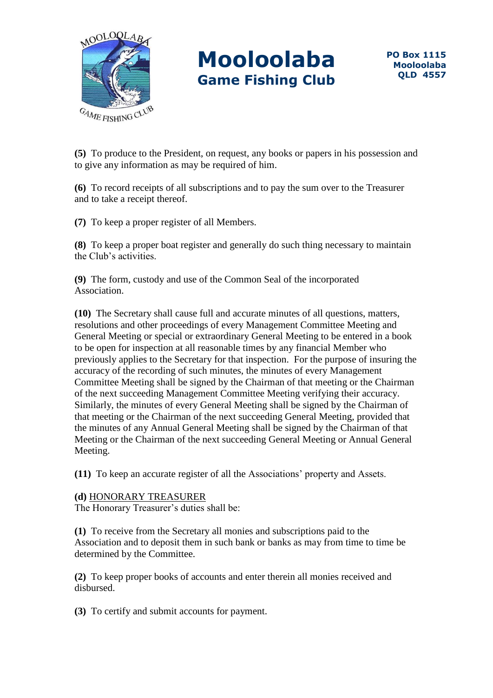

**(5)** To produce to the President, on request, any books or papers in his possession and to give any information as may be required of him.

**(6)** To record receipts of all subscriptions and to pay the sum over to the Treasurer and to take a receipt thereof.

**(7)** To keep a proper register of all Members.

**(8)** To keep a proper boat register and generally do such thing necessary to maintain the Club's activities.

**(9)** The form, custody and use of the Common Seal of the incorporated Association.

**(10)** The Secretary shall cause full and accurate minutes of all questions, matters, resolutions and other proceedings of every Management Committee Meeting and General Meeting or special or extraordinary General Meeting to be entered in a book to be open for inspection at all reasonable times by any financial Member who previously applies to the Secretary for that inspection. For the purpose of insuring the accuracy of the recording of such minutes, the minutes of every Management Committee Meeting shall be signed by the Chairman of that meeting or the Chairman of the next succeeding Management Committee Meeting verifying their accuracy. Similarly, the minutes of every General Meeting shall be signed by the Chairman of that meeting or the Chairman of the next succeeding General Meeting, provided that the minutes of any Annual General Meeting shall be signed by the Chairman of that Meeting or the Chairman of the next succeeding General Meeting or Annual General Meeting.

**(11)** To keep an accurate register of all the Associations' property and Assets.

#### **(d)** HONORARY TREASURER

The Honorary Treasurer's duties shall be:

**(1)** To receive from the Secretary all monies and subscriptions paid to the Association and to deposit them in such bank or banks as may from time to time be determined by the Committee.

**(2)** To keep proper books of accounts and enter therein all monies received and disbursed.

**(3)** To certify and submit accounts for payment.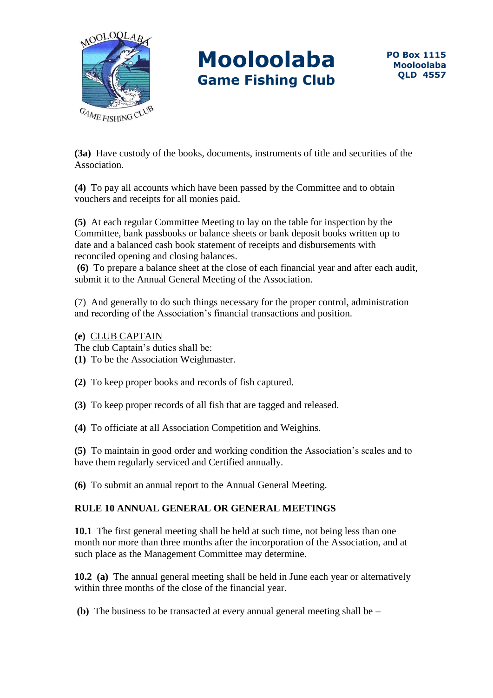

**(3a)** Have custody of the books, documents, instruments of title and securities of the Association.

**(4)** To pay all accounts which have been passed by the Committee and to obtain vouchers and receipts for all monies paid.

**(5)** At each regular Committee Meeting to lay on the table for inspection by the Committee, bank passbooks or balance sheets or bank deposit books written up to date and a balanced cash book statement of receipts and disbursements with reconciled opening and closing balances.

**(6)** To prepare a balance sheet at the close of each financial year and after each audit, submit it to the Annual General Meeting of the Association.

(7) And generally to do such things necessary for the proper control, administration and recording of the Association's financial transactions and position.

**(e)** CLUB CAPTAIN The club Captain's duties shall be:

**(1)** To be the Association Weighmaster.

**(2)** To keep proper books and records of fish captured.

**(3)** To keep proper records of all fish that are tagged and released.

**(4)** To officiate at all Association Competition and Weighins.

**(5)** To maintain in good order and working condition the Association's scales and to have them regularly serviced and Certified annually.

**(6)** To submit an annual report to the Annual General Meeting.

## **RULE 10 ANNUAL GENERAL OR GENERAL MEETINGS**

**10.1** The first general meeting shall be held at such time, not being less than one month nor more than three months after the incorporation of the Association, and at such place as the Management Committee may determine.

**10.2 (a)** The annual general meeting shall be held in June each year or alternatively within three months of the close of the financial year.

**(b)** The business to be transacted at every annual general meeting shall be –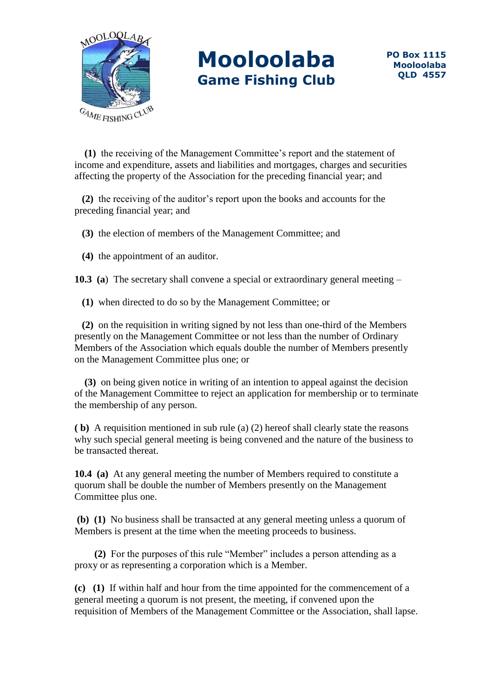

 **(1)** the receiving of the Management Committee's report and the statement of income and expenditure, assets and liabilities and mortgages, charges and securities affecting the property of the Association for the preceding financial year; and

 **(2)** the receiving of the auditor's report upon the books and accounts for the preceding financial year; and

 **(3)** the election of members of the Management Committee; and

 **(4)** the appointment of an auditor.

**10.3 (a**) The secretary shall convene a special or extraordinary general meeting –

**(1)** when directed to do so by the Management Committee; or

 **(2)** on the requisition in writing signed by not less than one-third of the Members presently on the Management Committee or not less than the number of Ordinary Members of the Association which equals double the number of Members presently on the Management Committee plus one; or

 **(3)** on being given notice in writing of an intention to appeal against the decision of the Management Committee to reject an application for membership or to terminate the membership of any person.

**( b)** A requisition mentioned in sub rule (a) (2) hereof shall clearly state the reasons why such special general meeting is being convened and the nature of the business to be transacted thereat.

**10.4 (a)** At any general meeting the number of Members required to constitute a quorum shall be double the number of Members presently on the Management Committee plus one.

**(b) (1)** No business shall be transacted at any general meeting unless a quorum of Members is present at the time when the meeting proceeds to business.

 **(2)** For the purposes of this rule "Member" includes a person attending as a proxy or as representing a corporation which is a Member.

**(c) (1)** If within half and hour from the time appointed for the commencement of a general meeting a quorum is not present, the meeting, if convened upon the requisition of Members of the Management Committee or the Association, shall lapse.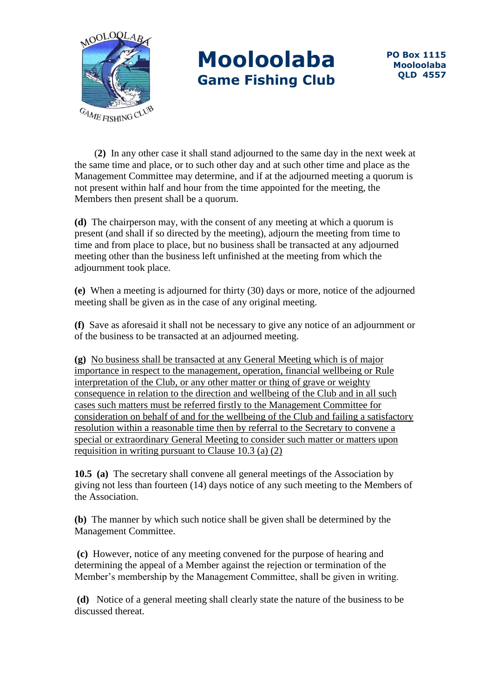

 (**2)** In any other case it shall stand adjourned to the same day in the next week at the same time and place, or to such other day and at such other time and place as the Management Committee may determine, and if at the adjourned meeting a quorum is not present within half and hour from the time appointed for the meeting, the Members then present shall be a quorum.

**(d)** The chairperson may, with the consent of any meeting at which a quorum is present (and shall if so directed by the meeting), adjourn the meeting from time to time and from place to place, but no business shall be transacted at any adjourned meeting other than the business left unfinished at the meeting from which the adjournment took place.

**(e)** When a meeting is adjourned for thirty (30) days or more, notice of the adjourned meeting shall be given as in the case of any original meeting.

**(f)** Save as aforesaid it shall not be necessary to give any notice of an adjournment or of the business to be transacted at an adjourned meeting.

**(g)** No business shall be transacted at any General Meeting which is of major importance in respect to the management, operation, financial wellbeing or Rule interpretation of the Club, or any other matter or thing of grave or weighty consequence in relation to the direction and wellbeing of the Club and in all such cases such matters must be referred firstly to the Management Committee for consideration on behalf of and for the wellbeing of the Club and failing a satisfactory resolution within a reasonable time then by referral to the Secretary to convene a special or extraordinary General Meeting to consider such matter or matters upon requisition in writing pursuant to Clause  $10.3$  (a) (2)

**10.5 (a)** The secretary shall convene all general meetings of the Association by giving not less than fourteen (14) days notice of any such meeting to the Members of the Association.

**(b)** The manner by which such notice shall be given shall be determined by the Management Committee.

**(c)** However, notice of any meeting convened for the purpose of hearing and determining the appeal of a Member against the rejection or termination of the Member's membership by the Management Committee, shall be given in writing.

**(d)** Notice of a general meeting shall clearly state the nature of the business to be discussed thereat.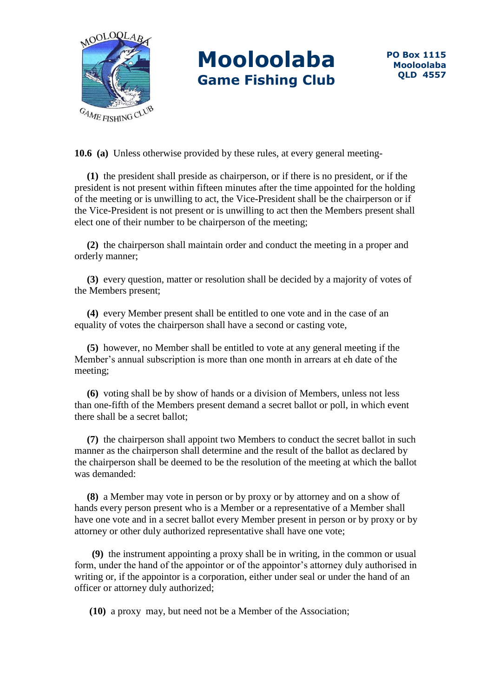

**10.6 (a)** Unless otherwise provided by these rules, at every general meeting-

 **(1)** the president shall preside as chairperson, or if there is no president, or if the president is not present within fifteen minutes after the time appointed for the holding of the meeting or is unwilling to act, the Vice-President shall be the chairperson or if the Vice-President is not present or is unwilling to act then the Members present shall elect one of their number to be chairperson of the meeting;

 **(2)** the chairperson shall maintain order and conduct the meeting in a proper and orderly manner;

 **(3)** every question, matter or resolution shall be decided by a majority of votes of the Members present;

 **(4)** every Member present shall be entitled to one vote and in the case of an equality of votes the chairperson shall have a second or casting vote,

 **(5)** however, no Member shall be entitled to vote at any general meeting if the Member's annual subscription is more than one month in arrears at eh date of the meeting;

 **(6)** voting shall be by show of hands or a division of Members, unless not less than one-fifth of the Members present demand a secret ballot or poll, in which event there shall be a secret ballot;

 **(7)** the chairperson shall appoint two Members to conduct the secret ballot in such manner as the chairperson shall determine and the result of the ballot as declared by the chairperson shall be deemed to be the resolution of the meeting at which the ballot was demanded:

 **(8)** a Member may vote in person or by proxy or by attorney and on a show of hands every person present who is a Member or a representative of a Member shall have one vote and in a secret ballot every Member present in person or by proxy or by attorney or other duly authorized representative shall have one vote;

 **(9)** the instrument appointing a proxy shall be in writing, in the common or usual form, under the hand of the appointor or of the appointor's attorney duly authorised in writing or, if the appointor is a corporation, either under seal or under the hand of an officer or attorney duly authorized;

 **(10)** a proxy may, but need not be a Member of the Association;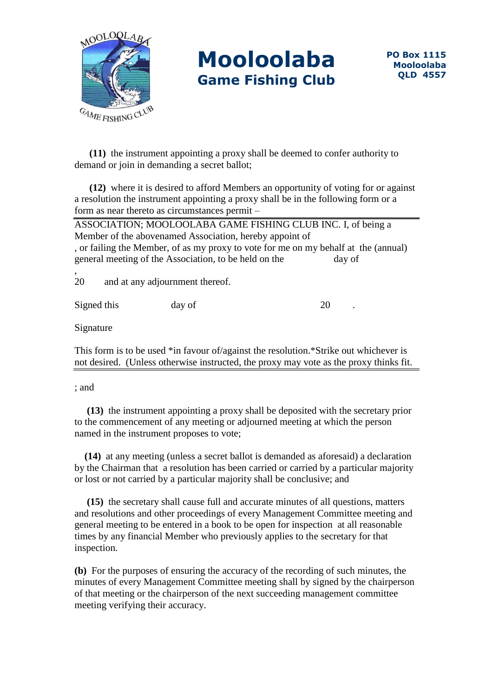

 **(11)** the instrument appointing a proxy shall be deemed to confer authority to demand or join in demanding a secret ballot;

 **(12)** where it is desired to afford Members an opportunity of voting for or against a resolution the instrument appointing a proxy shall be in the following form or a form as near thereto as circumstances permit –

ASSOCIATION; MOOLOOLABA GAME FISHING CLUB INC. I, of being a Member of the abovenamed Association, hereby appoint of , or failing the Member, of as my proxy to vote for me on my behalf at the (annual) general meeting of the Association, to be held on the day of

20 and at any adjournment thereof.

Signed this day of 20

Signature

,

This form is to be used \*in favour of/against the resolution.\*Strike out whichever is not desired. (Unless otherwise instructed, the proxy may vote as the proxy thinks fit.

; and

 **(13)** the instrument appointing a proxy shall be deposited with the secretary prior to the commencement of any meeting or adjourned meeting at which the person named in the instrument proposes to vote;

 **(14)** at any meeting (unless a secret ballot is demanded as aforesaid) a declaration by the Chairman that a resolution has been carried or carried by a particular majority or lost or not carried by a particular majority shall be conclusive; and

 **(15)** the secretary shall cause full and accurate minutes of all questions, matters and resolutions and other proceedings of every Management Committee meeting and general meeting to be entered in a book to be open for inspection at all reasonable times by any financial Member who previously applies to the secretary for that inspection.

**(b)** For the purposes of ensuring the accuracy of the recording of such minutes, the minutes of every Management Committee meeting shall by signed by the chairperson of that meeting or the chairperson of the next succeeding management committee meeting verifying their accuracy.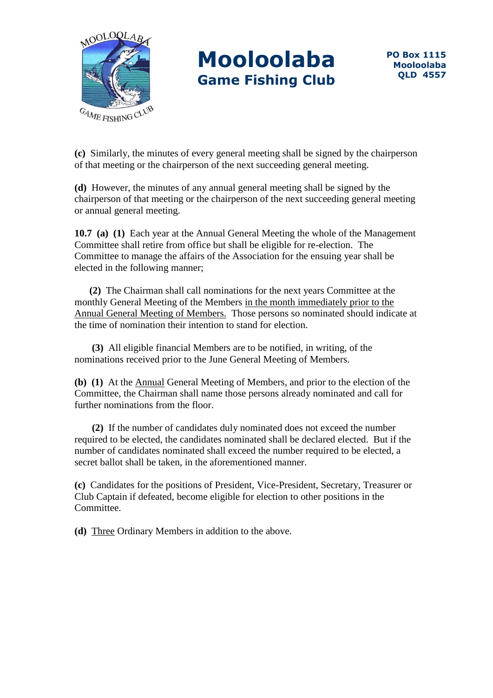

**(c)** Similarly, the minutes of every general meeting shall be signed by the chairperson of that meeting or the chairperson of the next succeeding general meeting.

**(d)** However, the minutes of any annual general meeting shall be signed by the chairperson of that meeting or the chairperson of the next succeeding general meeting or annual general meeting.

**10.7 (a) (1)** Each year at the Annual General Meeting the whole of the Management Committee shall retire from office but shall be eligible for re-election. The Committee to manage the affairs of the Association for the ensuing year shall be elected in the following manner;

 **(2)** The Chairman shall call nominations for the next years Committee at the monthly General Meeting of the Members in the month immediately prior to the Annual General Meeting of Members. Those persons so nominated should indicate at the time of nomination their intention to stand for election.

 **(3)** All eligible financial Members are to be notified, in writing, of the nominations received prior to the June General Meeting of Members.

**(b) (1)** At the Annual General Meeting of Members, and prior to the election of the Committee, the Chairman shall name those persons already nominated and call for further nominations from the floor.

 **(2)** If the number of candidates duly nominated does not exceed the number required to be elected, the candidates nominated shall be declared elected. But if the number of candidates nominated shall exceed the number required to be elected, a secret ballot shall be taken, in the aforementioned manner.

**(c)** Candidates for the positions of President, Vice-President, Secretary, Treasurer or Club Captain if defeated, become eligible for election to other positions in the Committee.

**(d)** Three Ordinary Members in addition to the above.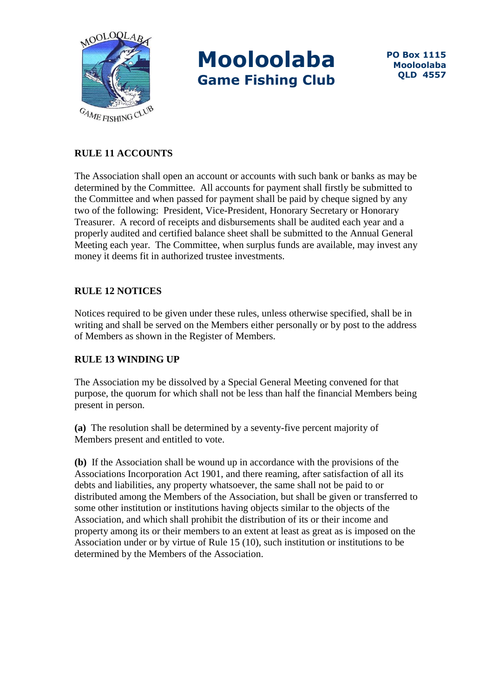

### **RULE 11 ACCOUNTS**

The Association shall open an account or accounts with such bank or banks as may be determined by the Committee. All accounts for payment shall firstly be submitted to the Committee and when passed for payment shall be paid by cheque signed by any two of the following: President, Vice-President, Honorary Secretary or Honorary Treasurer. A record of receipts and disbursements shall be audited each year and a properly audited and certified balance sheet shall be submitted to the Annual General Meeting each year. The Committee, when surplus funds are available, may invest any money it deems fit in authorized trustee investments.

## **RULE 12 NOTICES**

Notices required to be given under these rules, unless otherwise specified, shall be in writing and shall be served on the Members either personally or by post to the address of Members as shown in the Register of Members.

### **RULE 13 WINDING UP**

The Association my be dissolved by a Special General Meeting convened for that purpose, the quorum for which shall not be less than half the financial Members being present in person.

**(a)** The resolution shall be determined by a seventy-five percent majority of Members present and entitled to vote.

**(b)** If the Association shall be wound up in accordance with the provisions of the Associations Incorporation Act 1901, and there reaming, after satisfaction of all its debts and liabilities, any property whatsoever, the same shall not be paid to or distributed among the Members of the Association, but shall be given or transferred to some other institution or institutions having objects similar to the objects of the Association, and which shall prohibit the distribution of its or their income and property among its or their members to an extent at least as great as is imposed on the Association under or by virtue of Rule 15 (10), such institution or institutions to be determined by the Members of the Association.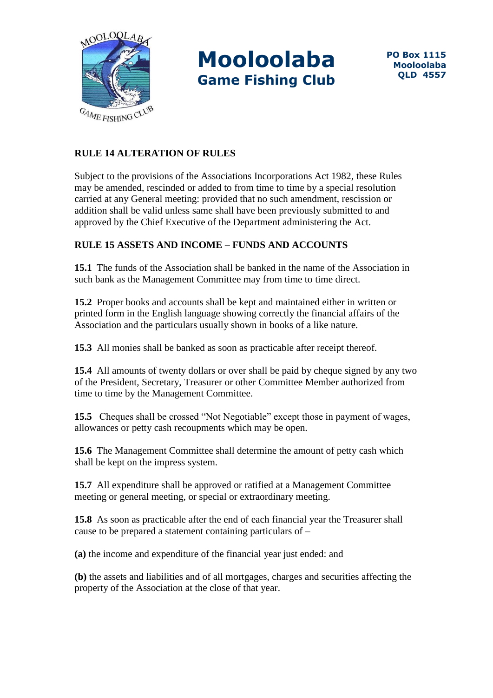

## **RULE 14 ALTERATION OF RULES**

Subject to the provisions of the Associations Incorporations Act 1982, these Rules may be amended, rescinded or added to from time to time by a special resolution carried at any General meeting: provided that no such amendment, rescission or addition shall be valid unless same shall have been previously submitted to and approved by the Chief Executive of the Department administering the Act.

## **RULE 15 ASSETS AND INCOME – FUNDS AND ACCOUNTS**

**15.1** The funds of the Association shall be banked in the name of the Association in such bank as the Management Committee may from time to time direct.

**15.2** Proper books and accounts shall be kept and maintained either in written or printed form in the English language showing correctly the financial affairs of the Association and the particulars usually shown in books of a like nature.

**15.3** All monies shall be banked as soon as practicable after receipt thereof.

**15.4** All amounts of twenty dollars or over shall be paid by cheque signed by any two of the President, Secretary, Treasurer or other Committee Member authorized from time to time by the Management Committee.

**15.5** Cheques shall be crossed "Not Negotiable" except those in payment of wages, allowances or petty cash recoupments which may be open.

**15.6** The Management Committee shall determine the amount of petty cash which shall be kept on the impress system.

**15.7** All expenditure shall be approved or ratified at a Management Committee meeting or general meeting, or special or extraordinary meeting.

**15.8** As soon as practicable after the end of each financial year the Treasurer shall cause to be prepared a statement containing particulars of –

**(a)** the income and expenditure of the financial year just ended: and

**(b)** the assets and liabilities and of all mortgages, charges and securities affecting the property of the Association at the close of that year.